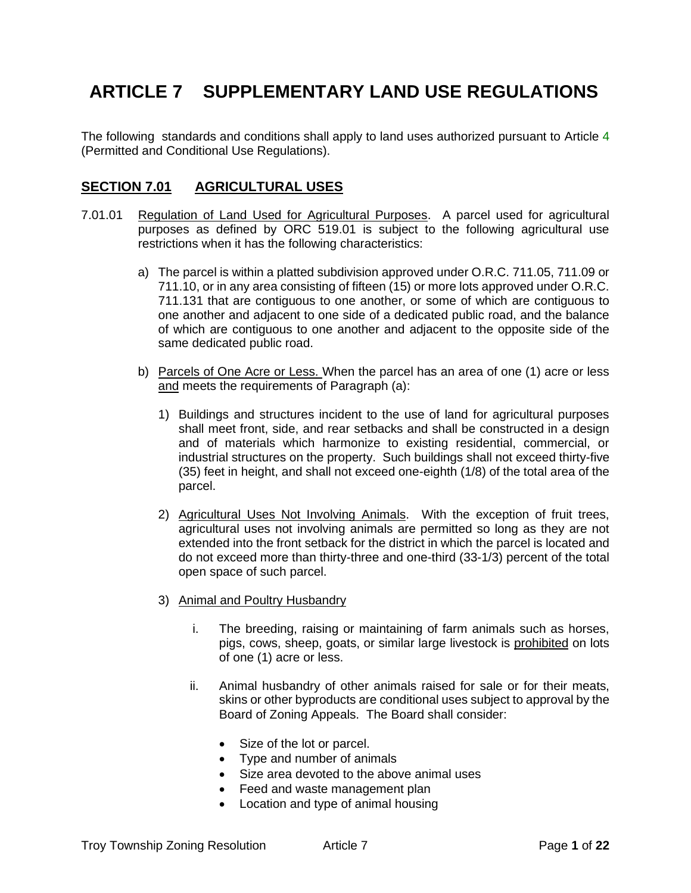# **ARTICLE 7 SUPPLEMENTARY LAND USE REGULATIONS**

The following standards and conditions shall apply to land uses authorized pursuant to Article 4 (Permitted and Conditional Use Regulations).

# **SECTION 7.01 AGRICULTURAL USES**

- <span id="page-0-1"></span><span id="page-0-0"></span>7.01.01 Regulation of Land Used for Agricultural Purposes. A parcel used for agricultural purposes as defined by ORC 519.01 is subject to the following agricultural use restrictions when it has the following characteristics:
	- a) The parcel is within a platted subdivision approved under O.R.C. 711.05, 711.09 or 711.10, or in any area consisting of fifteen (15) or more lots approved under O.R.C. 711.131 that are contiguous to one another, or some of which are contiguous to one another and adjacent to one side of a dedicated public road, and the balance of which are contiguous to one another and adjacent to the opposite side of the same dedicated public road.
	- b) Parcels of One Acre or Less. When the parcel has an area of one (1) acre or less and meets the requirements of [Paragraph \(a\):](#page-0-0)
		- 1) Buildings and structures incident to the use of land for agricultural purposes shall meet front, side, and rear setbacks and shall be constructed in a design and of materials which harmonize to existing residential, commercial, or industrial structures on the property. Such buildings shall not exceed thirty-five (35) feet in height, and shall not exceed one-eighth (1/8) of the total area of the parcel.
		- 2) Agricultural Uses Not Involving Animals. With the exception of fruit trees, agricultural uses not involving animals are permitted so long as they are not extended into the front setback for the district in which the parcel is located and do not exceed more than thirty-three and one-third (33-1/3) percent of the total open space of such parcel.
		- 3) Animal and Poultry Husbandry
			- i. The breeding, raising or maintaining of farm animals such as horses, pigs, cows, sheep, goats, or similar large livestock is prohibited on lots of one (1) acre or less.
			- ii. Animal husbandry of other animals raised for sale or for their meats, skins or other byproducts are conditional uses subject to approval by the Board of Zoning Appeals. The Board shall consider:
				- Size of the lot or parcel.
				- Type and number of animals
				- Size area devoted to the above animal uses
				- Feed and waste management plan
				- Location and type of animal housing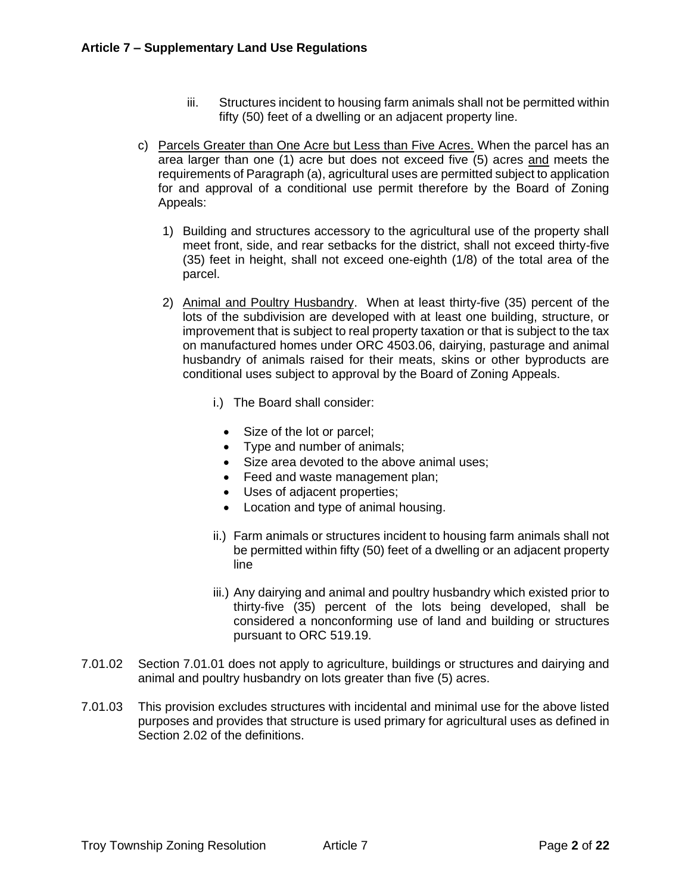- iii. Structures incident to housing farm animals shall not be permitted within fifty (50) feet of a dwelling or an adjacent property line.
- c) Parcels Greater than One Acre but Less than Five Acres. When the parcel has an area larger than one (1) acre but does not exceed five (5) acres and meets the requirements o[f Paragraph \(a\),](#page-0-0) agricultural uses are permitted subject to application for and approval of a conditional use permit therefore by the Board of Zoning Appeals:
	- 1) Building and structures accessory to the agricultural use of the property shall meet front, side, and rear setbacks for the district, shall not exceed thirty-five (35) feet in height, shall not exceed one-eighth (1/8) of the total area of the parcel.
	- 2) Animal and Poultry Husbandry. When at least thirty-five (35) percent of the lots of the subdivision are developed with at least one building, structure, or improvement that is subject to real property taxation or that is subject to the tax on manufactured homes under ORC 4503.06, dairying, pasturage and animal husbandry of animals raised for their meats, skins or other byproducts are conditional uses subject to approval by the Board of Zoning Appeals.
		- i.) The Board shall consider:
			- Size of the lot or parcel;
			- Type and number of animals;
			- Size area devoted to the above animal uses;
			- Feed and waste management plan;
			- Uses of adjacent properties;
			- Location and type of animal housing.
		- ii.) Farm animals or structures incident to housing farm animals shall not be permitted within fifty (50) feet of a dwelling or an adjacent property line
		- iii.) Any dairying and animal and poultry husbandry which existed prior to thirty-five (35) percent of the lots being developed, shall be considered a nonconforming use of land and building or structures pursuant to ORC 519.19.
- 7.01.02 [Section 7.01.01](#page-0-1) does not apply to agriculture, buildings or structures and dairying and animal and poultry husbandry on lots greater than five (5) acres.
- 7.01.03 This provision excludes structures with incidental and minimal use for the above listed purposes and provides that structure is used primary for agricultural uses as defined in Section 2.02 of the definitions.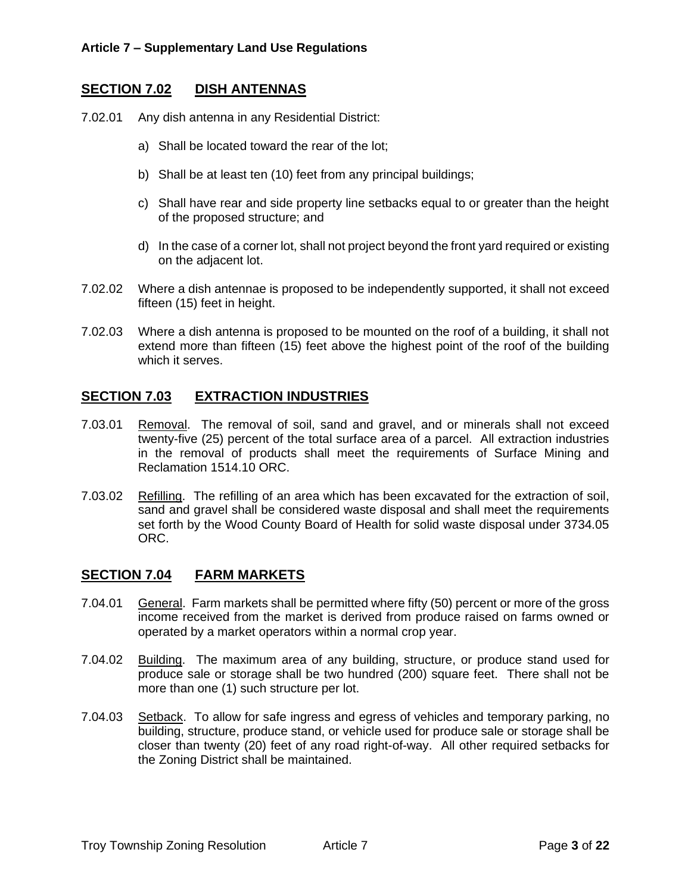## **SECTION 7.02 DISH ANTENNAS**

7.02.01 Any dish antenna in any Residential District:

- a) Shall be located toward the rear of the lot;
- b) Shall be at least ten (10) feet from any principal buildings;
- c) Shall have rear and side property line setbacks equal to or greater than the height of the proposed structure; and
- d) In the case of a corner lot, shall not project beyond the front yard required or existing on the adjacent lot.
- 7.02.02 Where a dish antennae is proposed to be independently supported, it shall not exceed fifteen (15) feet in height.
- 7.02.03 Where a dish antenna is proposed to be mounted on the roof of a building, it shall not extend more than fifteen (15) feet above the highest point of the roof of the building which it serves.

## **SECTION 7.03 EXTRACTION INDUSTRIES**

- 7.03.01 Removal. The removal of soil, sand and gravel, and or minerals shall not exceed twenty-five (25) percent of the total surface area of a parcel. All extraction industries in the removal of products shall meet the requirements of Surface Mining and Reclamation 1514.10 ORC.
- 7.03.02 Refilling. The refilling of an area which has been excavated for the extraction of soil, sand and gravel shall be considered waste disposal and shall meet the requirements set forth by the Wood County Board of Health for solid waste disposal under 3734.05 ORC.

## **SECTION 7.04 FARM MARKETS**

- 7.04.01 General. Farm markets shall be permitted where fifty (50) percent or more of the gross income received from the market is derived from produce raised on farms owned or operated by a market operators within a normal crop year.
- 7.04.02 Building. The maximum area of any building, structure, or produce stand used for produce sale or storage shall be two hundred (200) square feet. There shall not be more than one (1) such structure per lot.
- 7.04.03 Setback. To allow for safe ingress and egress of vehicles and temporary parking, no building, structure, produce stand, or vehicle used for produce sale or storage shall be closer than twenty (20) feet of any road right-of-way. All other required setbacks for the Zoning District shall be maintained.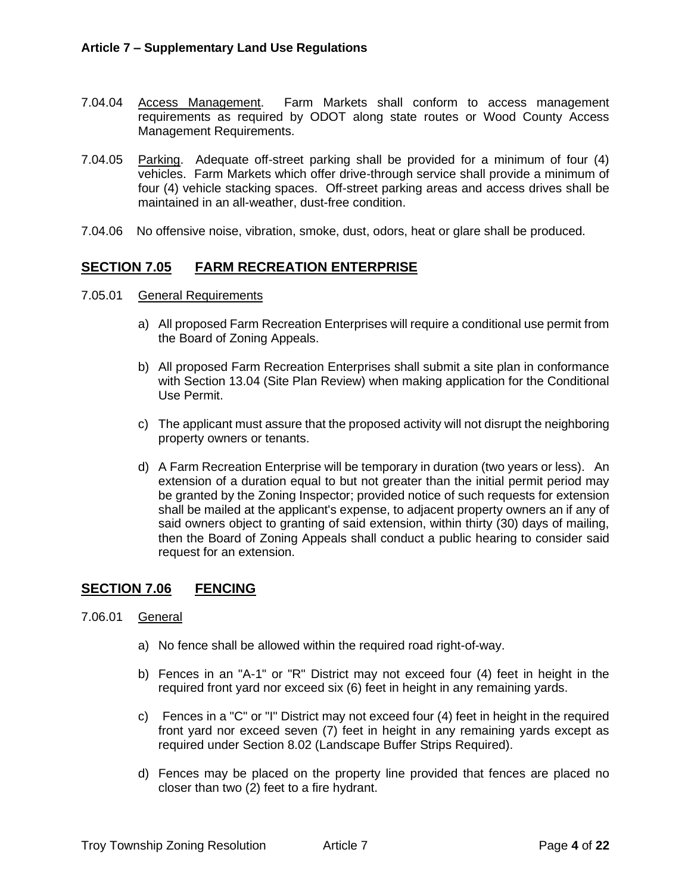- 7.04.04 Access Management. Farm Markets shall conform to access management requirements as required by ODOT along state routes or Wood County Access Management Requirements.
- 7.04.05 Parking. Adequate off-street parking shall be provided for a minimum of four (4) vehicles. Farm Markets which offer drive-through service shall provide a minimum of four (4) vehicle stacking spaces. Off-street parking areas and access drives shall be maintained in an all-weather, dust-free condition.
- 7.04.06 No offensive noise, vibration, smoke, dust, odors, heat or glare shall be produced.

## **SECTION 7.05 FARM RECREATION ENTERPRISE**

- 7.05.01 General Requirements
	- a) All proposed Farm Recreation Enterprises will require a conditional use permit from the Board of Zoning Appeals.
	- b) All proposed Farm Recreation Enterprises shall submit a site plan in conformance with Section 13.04 (Site Plan Review) when making application for the Conditional Use Permit.
	- c) The applicant must assure that the proposed activity will not disrupt the neighboring property owners or tenants.
	- d) A Farm Recreation Enterprise will be temporary in duration (two years or less). An extension of a duration equal to but not greater than the initial permit period may be granted by the Zoning Inspector; provided notice of such requests for extension shall be mailed at the applicant's expense, to adjacent property owners an if any of said owners object to granting of said extension, within thirty (30) days of mailing, then the Board of Zoning Appeals shall conduct a public hearing to consider said request for an extension.

## <span id="page-3-0"></span>**SECTION 7.06 FENCING**

- 7.06.01 General
	- a) No fence shall be allowed within the required road right-of-way.
	- b) Fences in an "A-1" or "R" District may not exceed four (4) feet in height in the required front yard nor exceed six (6) feet in height in any remaining yards.
	- c) Fences in a "C" or "I" District may not exceed four (4) feet in height in the required front yard nor exceed seven (7) feet in height in any remaining yards except as required under Section 8.02 (Landscape Buffer Strips Required).
	- d) Fences may be placed on the property line provided that fences are placed no closer than two (2) feet to a fire hydrant.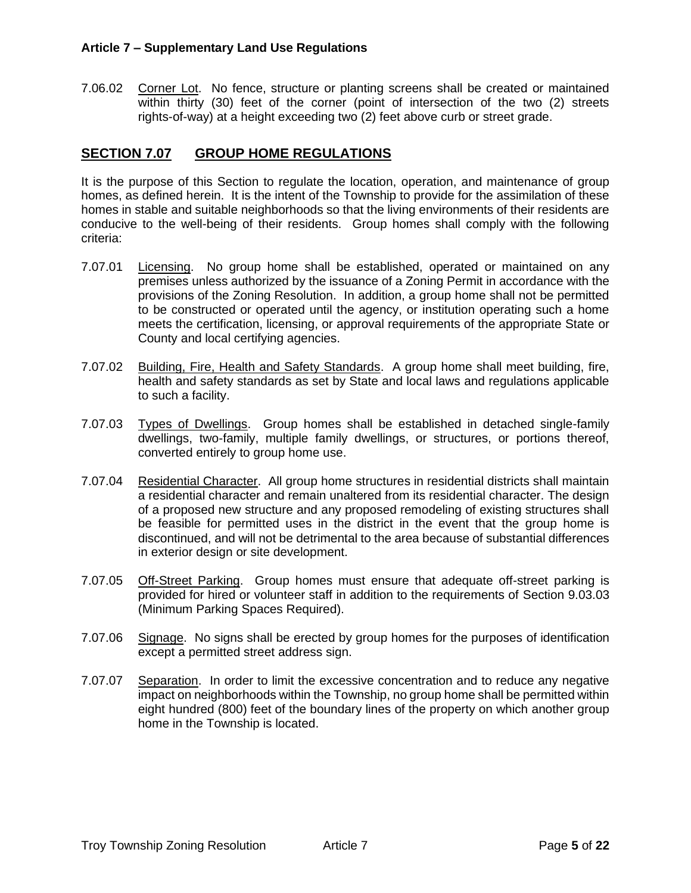7.06.02 Corner Lot. No fence, structure or planting screens shall be created or maintained within thirty (30) feet of the corner (point of intersection of the two (2) streets rights-of-way) at a height exceeding two (2) feet above curb or street grade.

# **SECTION 7.07 GROUP HOME REGULATIONS**

It is the purpose of this Section to regulate the location, operation, and maintenance of group homes, as defined herein. It is the intent of the Township to provide for the assimilation of these homes in stable and suitable neighborhoods so that the living environments of their residents are conducive to the well-being of their residents. Group homes shall comply with the following criteria:

- 7.07.01 Licensing. No group home shall be established, operated or maintained on any premises unless authorized by the issuance of a Zoning Permit in accordance with the provisions of the Zoning Resolution. In addition, a group home shall not be permitted to be constructed or operated until the agency, or institution operating such a home meets the certification, licensing, or approval requirements of the appropriate State or County and local certifying agencies.
- 7.07.02 Building, Fire, Health and Safety Standards. A group home shall meet building, fire, health and safety standards as set by State and local laws and regulations applicable to such a facility.
- 7.07.03 Types of Dwellings. Group homes shall be established in detached single-family dwellings, two-family, multiple family dwellings, or structures, or portions thereof, converted entirely to group home use.
- 7.07.04 Residential Character. All group home structures in residential districts shall maintain a residential character and remain unaltered from its residential character. The design of a proposed new structure and any proposed remodeling of existing structures shall be feasible for permitted uses in the district in the event that the group home is discontinued, and will not be detrimental to the area because of substantial differences in exterior design or site development.
- 7.07.05 Off-Street Parking. Group homes must ensure that adequate off-street parking is provided for hired or volunteer staff in addition to the requirements of Section 9.03.03 (Minimum Parking Spaces Required).
- 7.07.06 Signage. No signs shall be erected by group homes for the purposes of identification except a permitted street address sign.
- 7.07.07 Separation. In order to limit the excessive concentration and to reduce any negative impact on neighborhoods within the Township, no group home shall be permitted within eight hundred (800) feet of the boundary lines of the property on which another group home in the Township is located.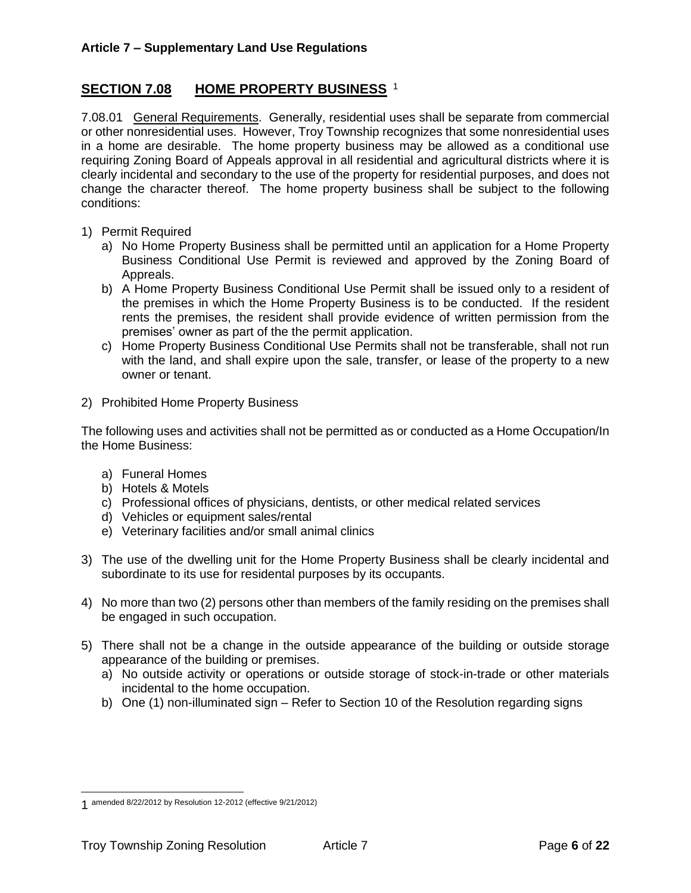# **SECTION 7.08 HOME PROPERTY BUSINESS** <sup>1</sup>

7.08.01 General Requirements. Generally, residential uses shall be separate from commercial or other nonresidential uses. However, Troy Township recognizes that some nonresidential uses in a home are desirable. The home property business may be allowed as a conditional use requiring Zoning Board of Appeals approval in all residential and agricultural districts where it is clearly incidental and secondary to the use of the property for residential purposes, and does not change the character thereof. The home property business shall be subject to the following conditions:

- 1) Permit Required
	- a) No Home Property Business shall be permitted until an application for a Home Property Business Conditional Use Permit is reviewed and approved by the Zoning Board of Appreals.
	- b) A Home Property Business Conditional Use Permit shall be issued only to a resident of the premises in which the Home Property Business is to be conducted. If the resident rents the premises, the resident shall provide evidence of written permission from the premises' owner as part of the the permit application.
	- c) Home Property Business Conditional Use Permits shall not be transferable, shall not run with the land, and shall expire upon the sale, transfer, or lease of the property to a new owner or tenant.
- 2) Prohibited Home Property Business

The following uses and activities shall not be permitted as or conducted as a Home Occupation/In the Home Business:

- a) Funeral Homes
- b) Hotels & Motels
- c) Professional offices of physicians, dentists, or other medical related services
- d) Vehicles or equipment sales/rental
- e) Veterinary facilities and/or small animal clinics
- 3) The use of the dwelling unit for the Home Property Business shall be clearly incidental and subordinate to its use for residental purposes by its occupants.
- 4) No more than two (2) persons other than members of the family residing on the premises shall be engaged in such occupation.
- 5) There shall not be a change in the outside appearance of the building or outside storage appearance of the building or premises.
	- a) No outside activity or operations or outside storage of stock-in-trade or other materials incidental to the home occupation.
	- b) One (1) non-illuminated sign Refer to Section 10 of the Resolution regarding signs

<sup>1</sup> amended 8/22/2012 by Resolution 12-2012 (effective 9/21/2012)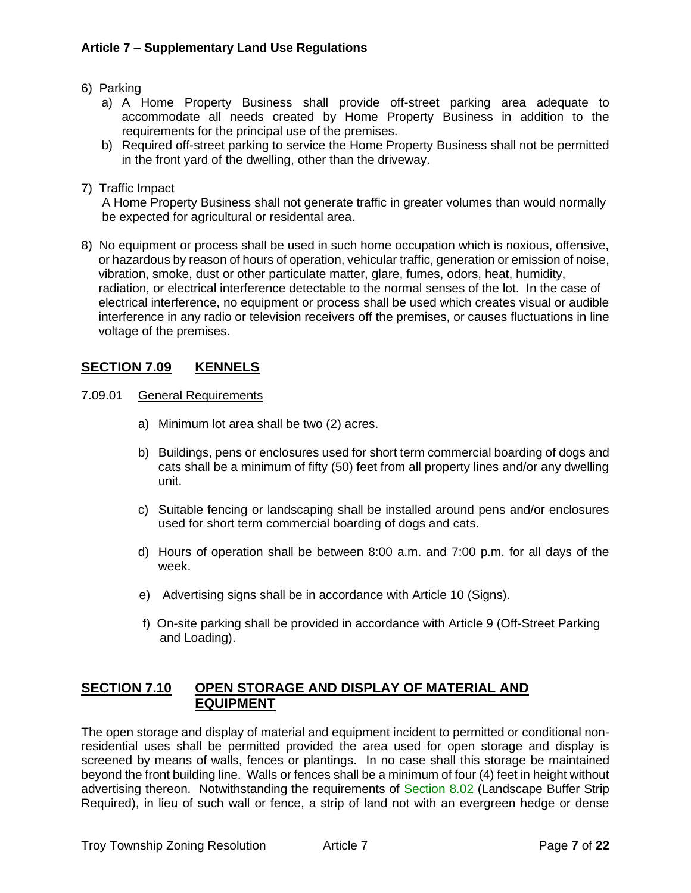- 6) Parking
	- a) A Home Property Business shall provide off-street parking area adequate to accommodate all needs created by Home Property Business in addition to the requirements for the principal use of the premises.
	- b) Required off-street parking to service the Home Property Business shall not be permitted in the front yard of the dwelling, other than the driveway.
- 7) Traffic Impact

 A Home Property Business shall not generate traffic in greater volumes than would normally be expected for agricultural or residental area.

8) No equipment or process shall be used in such home occupation which is noxious, offensive, or hazardous by reason of hours of operation, vehicular traffic, generation or emission of noise, vibration, smoke, dust or other particulate matter, glare, fumes, odors, heat, humidity, radiation, or electrical interference detectable to the normal senses of the lot. In the case of electrical interference, no equipment or process shall be used which creates visual or audible interference in any radio or television receivers off the premises, or causes fluctuations in line voltage of the premises.

## **SECTION 7.09 KENNELS**

- 7.09.01 General Requirements
	- a) Minimum lot area shall be two (2) acres.
	- b) Buildings, pens or enclosures used for short term commercial boarding of dogs and cats shall be a minimum of fifty (50) feet from all property lines and/or any dwelling unit.
	- c) Suitable fencing or landscaping shall be installed around pens and/or enclosures used for short term commercial boarding of dogs and cats.
	- d) Hours of operation shall be between 8:00 a.m. and 7:00 p.m. for all days of the week.
	- e) Advertising signs shall be in accordance with Article 10 (Signs).
	- f) On-site parking shall be provided in accordance with Article 9 (Off-Street Parking and Loading).

## **SECTION 7.10 OPEN STORAGE AND DISPLAY OF MATERIAL AND EQUIPMENT**

The open storage and display of material and equipment incident to permitted or conditional nonresidential uses shall be permitted provided the area used for open storage and display is screened by means of walls, fences or plantings. In no case shall this storage be maintained beyond the front building line. Walls or fences shall be a minimum of four (4) feet in height without advertising thereon. Notwithstanding the requirements of Section 8.02 (Landscape Buffer Strip Required), in lieu of such wall or fence, a strip of land not with an evergreen hedge or dense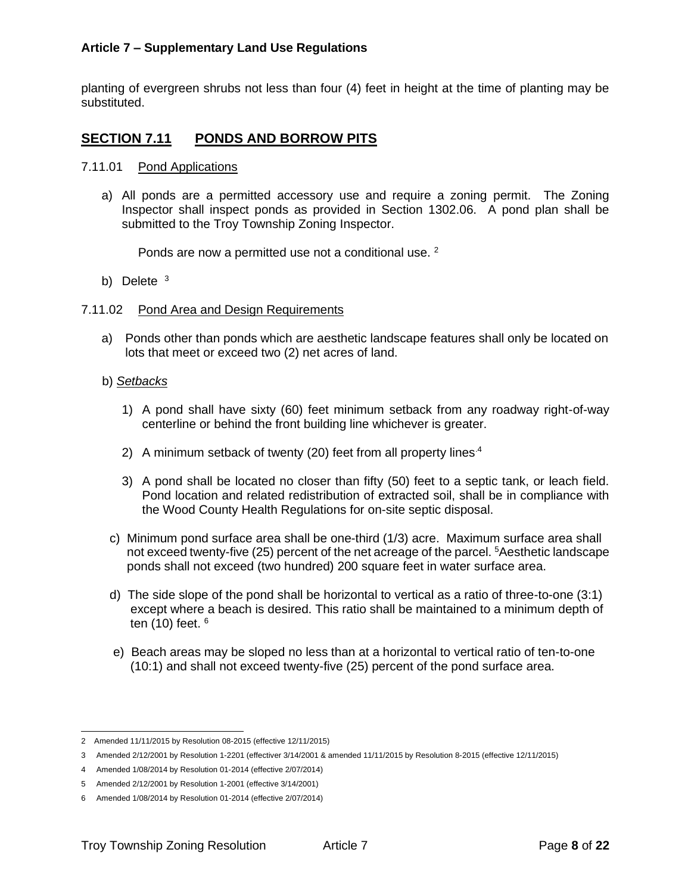planting of evergreen shrubs not less than four (4) feet in height at the time of planting may be substituted.

# **SECTION 7.11 PONDS AND BORROW PITS**

- 7.11.01 Pond Applications
	- a) All ponds are a permitted accessory use and require a zoning permit. The Zoning Inspector shall inspect ponds as provided in Section 1302.06. A pond plan shall be submitted to the Troy Township Zoning Inspector.

Ponds are now a permitted use not a conditional use. <sup>2</sup>

b) Delete <sup>3</sup>

#### 7.11.02 Pond Area and Design Requirements

- a) Ponds other than ponds which are aesthetic landscape features shall only be located on lots that meet or exceed two (2) net acres of land.
- b) *Setbacks*
	- 1) A pond shall have sixty (60) feet minimum setback from any roadway right-of-way centerline or behind the front building line whichever is greater.
	- 2) A minimum setback of twenty (20) feet from all property lines.<sup>4</sup>
	- 3) A pond shall be located no closer than fifty (50) feet to a septic tank, or leach field. Pond location and related redistribution of extracted soil, shall be in compliance with the Wood County Health Regulations for on-site septic disposal.
- c) Minimum pond surface area shall be one-third (1/3) acre. Maximum surface area shall not exceed twenty-five (25) percent of the net acreage of the parcel. <sup>5</sup>Aesthetic landscape ponds shall not exceed (two hundred) 200 square feet in water surface area.
- d) The side slope of the pond shall be horizontal to vertical as a ratio of three-to-one (3:1) except where a beach is desired. This ratio shall be maintained to a minimum depth of ten  $(10)$  feet.  $6$
- e) Beach areas may be sloped no less than at a horizontal to vertical ratio of ten-to-one (10:1) and shall not exceed twenty-five (25) percent of the pond surface area.

<sup>2</sup> Amended 11/11/2015 by Resolution 08-2015 (effective 12/11/2015)

<sup>3</sup> Amended 2/12/2001 by Resolution 1-2201 (effectiver 3/14/2001 & amended 11/11/2015 by Resolution 8-2015 (effective 12/11/2015)

<sup>4</sup> Amended 1/08/2014 by Resolution 01-2014 (effective 2/07/2014)

<sup>5</sup> Amended 2/12/2001 by Resolution 1-2001 (effective 3/14/2001)

<sup>6</sup> Amended 1/08/2014 by Resolution 01-2014 (effective 2/07/2014)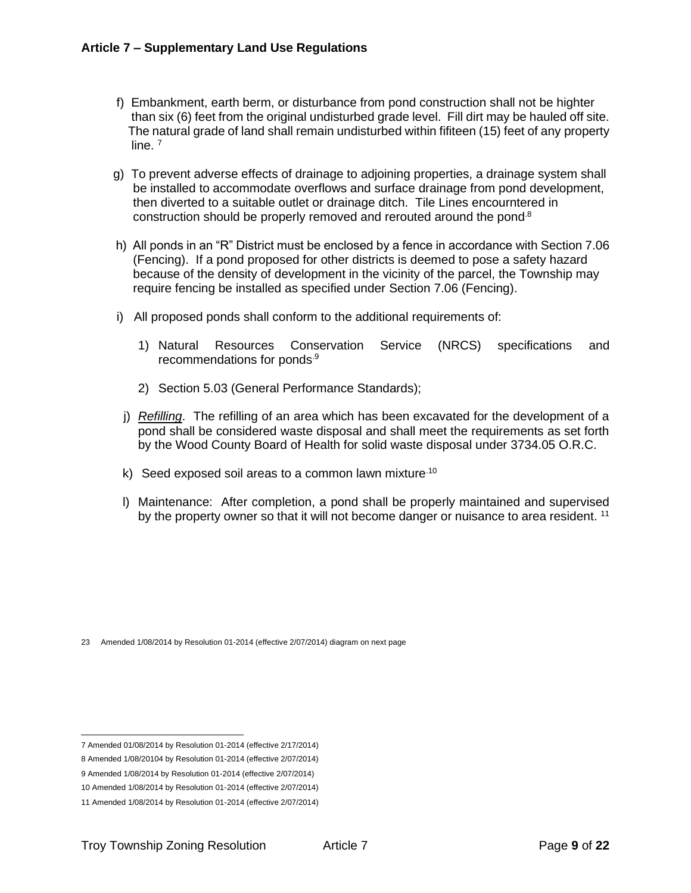- f) Embankment, earth berm, or disturbance from pond construction shall not be highter than six (6) feet from the original undisturbed grade level. Fill dirt may be hauled off site. The natural grade of land shall remain undisturbed within fifiteen (15) feet of any property line. 7
	- g) To prevent adverse effects of drainage to adjoining properties, a drainage system shall be installed to accommodate overflows and surface drainage from pond development, then diverted to a suitable outlet or drainage ditch. Tile Lines encourntered in construction should be properly removed and rerouted around the pond.8
	- h) All ponds in an "R" District must be enclosed by a fence in accordance with [Section 7.06](#page-3-0) (Fencing). If a pond proposed for other districts is deemed to pose a safety hazard because of the density of development in the vicinity of the parcel, the Township may require fencing be installed as specified under [Section 7.06](#page-3-0) (Fencing).
	- i) All proposed ponds shall conform to the additional requirements of:
		- 1) Natural Resources Conservation Service (NRCS) specifications and recommendations for ponds.9
		- 2) Section 5.03 (General Performance Standards);
	- j) *Refilling*. The refilling of an area which has been excavated for the development of a pond shall be considered waste disposal and shall meet the requirements as set forth by the Wood County Board of Health for solid waste disposal under 3734.05 O.R.C.
	- k) Seed exposed soil areas to a common lawn mixture.10
	- l) Maintenance: After completion, a pond shall be properly maintained and supervised by the property owner so that it will not become danger or nuisance to area resident. <sup>11</sup>

<sup>23</sup> Amended 1/08/2014 by Resolution 01-2014 (effective 2/07/2014) diagram on next page

<sup>7</sup> Amended 01/08/2014 by Resolution 01-2014 (effective 2/17/2014)

<sup>8</sup> Amended 1/08/20104 by Resolution 01-2014 (effective 2/07/2014)

<sup>9</sup> Amended 1/08/2014 by Resolution 01-2014 (effective 2/07/2014)

<sup>10</sup> Amended 1/08/2014 by Resolution 01-2014 (effective 2/07/2014)

<sup>11</sup> Amended 1/08/2014 by Resolution 01-2014 (effective 2/07/2014)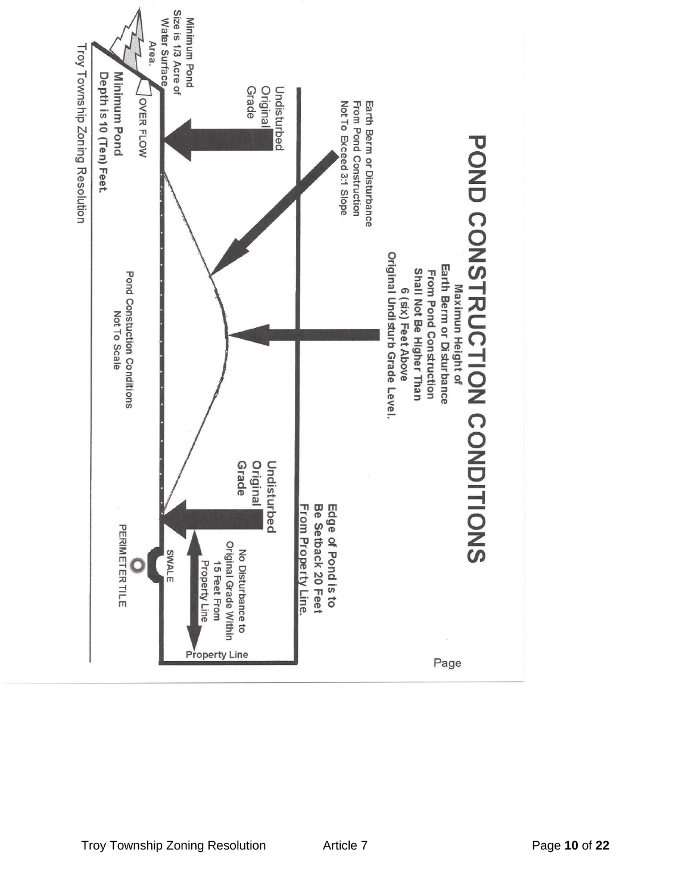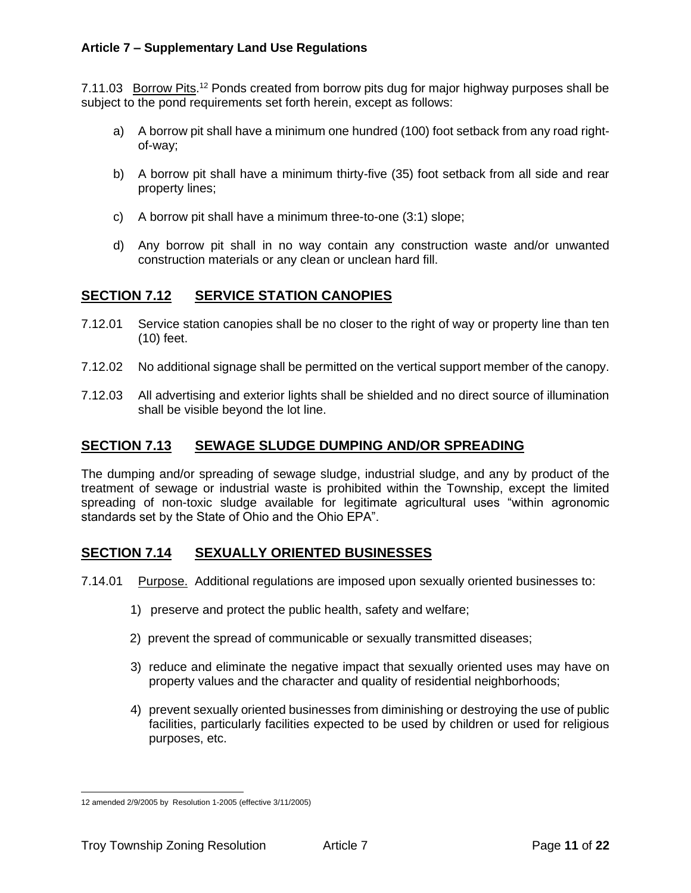7.11.03 Borrow Pits.<sup>12</sup> Ponds created from borrow pits dug for major highway purposes shall be subject to the pond requirements set forth herein, except as follows:

- a) A borrow pit shall have a minimum one hundred (100) foot setback from any road rightof-way;
- b) A borrow pit shall have a minimum thirty-five (35) foot setback from all side and rear property lines;
- c) A borrow pit shall have a minimum three-to-one (3:1) slope;
- d) Any borrow pit shall in no way contain any construction waste and/or unwanted construction materials or any clean or unclean hard fill.

## **SECTION 7.12 SERVICE STATION CANOPIES**

- 7.12.01 Service station canopies shall be no closer to the right of way or property line than ten (10) feet.
- 7.12.02 No additional signage shall be permitted on the vertical support member of the canopy.
- 7.12.03 All advertising and exterior lights shall be shielded and no direct source of illumination shall be visible beyond the lot line.

## **SECTION 7.13 SEWAGE SLUDGE DUMPING AND/OR SPREADING**

The dumping and/or spreading of sewage sludge, industrial sludge, and any by product of the treatment of sewage or industrial waste is prohibited within the Township, except the limited spreading of non-toxic sludge available for legitimate agricultural uses "within agronomic standards set by the State of Ohio and the Ohio EPA".

## **SECTION 7.14 SEXUALLY ORIENTED BUSINESSES**

7.14.01 Purpose. Additional regulations are imposed upon sexually oriented businesses to:

- 1) preserve and protect the public health, safety and welfare;
- 2) prevent the spread of communicable or sexually transmitted diseases;
- 3) reduce and eliminate the negative impact that sexually oriented uses may have on property values and the character and quality of residential neighborhoods;
- 4) prevent sexually oriented businesses from diminishing or destroying the use of public facilities, particularly facilities expected to be used by children or used for religious purposes, etc.

<sup>12</sup> amended 2/9/2005 by Resolution 1-2005 (effective 3/11/2005)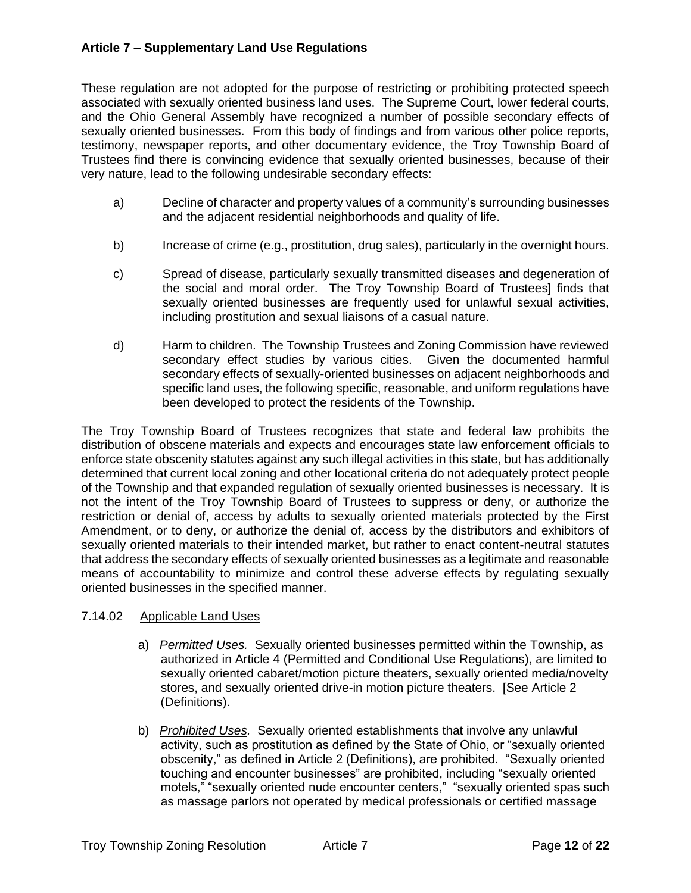These regulation are not adopted for the purpose of restricting or prohibiting protected speech associated with sexually oriented business land uses. The Supreme Court, lower federal courts, and the Ohio General Assembly have recognized a number of possible secondary effects of sexually oriented businesses. From this body of findings and from various other police reports, testimony, newspaper reports, and other documentary evidence, the Troy Township Board of Trustees find there is convincing evidence that sexually oriented businesses, because of their very nature, lead to the following undesirable secondary effects:

- a) Decline of character and property values of a community's surrounding businesses and the adjacent residential neighborhoods and quality of life.
- b) Increase of crime (e.g., prostitution, drug sales), particularly in the overnight hours.
- c) Spread of disease, particularly sexually transmitted diseases and degeneration of the social and moral order. The Troy Township Board of Trustees] finds that sexually oriented businesses are frequently used for unlawful sexual activities, including prostitution and sexual liaisons of a casual nature.
- d) Harm to children. The Township Trustees and Zoning Commission have reviewed secondary effect studies by various cities. Given the documented harmful secondary effects of sexually-oriented businesses on adjacent neighborhoods and specific land uses, the following specific, reasonable, and uniform regulations have been developed to protect the residents of the Township.

The Troy Township Board of Trustees recognizes that state and federal law prohibits the distribution of obscene materials and expects and encourages state law enforcement officials to enforce state obscenity statutes against any such illegal activities in this state, but has additionally determined that current local zoning and other locational criteria do not adequately protect people of the Township and that expanded regulation of sexually oriented businesses is necessary. It is not the intent of the Troy Township Board of Trustees to suppress or deny, or authorize the restriction or denial of, access by adults to sexually oriented materials protected by the First Amendment, or to deny, or authorize the denial of, access by the distributors and exhibitors of sexually oriented materials to their intended market, but rather to enact content-neutral statutes that address the secondary effects of sexually oriented businesses as a legitimate and reasonable means of accountability to minimize and control these adverse effects by regulating sexually oriented businesses in the specified manner.

#### 7.14.02 Applicable Land Uses

- a) *Permitted Uses.* Sexually oriented businesses permitted within the Township, as authorized in Article 4 (Permitted and Conditional Use Regulations), are limited to sexually oriented cabaret/motion picture theaters, sexually oriented media/novelty stores, and sexually oriented drive-in motion picture theaters. [See Article 2 (Definitions).
- b) *Prohibited Uses.* Sexually oriented establishments that involve any unlawful activity, such as prostitution as defined by the State of Ohio, or "sexually oriented obscenity," as defined in Article 2 (Definitions), are prohibited. "Sexually oriented touching and encounter businesses" are prohibited, including "sexually oriented motels," "sexually oriented nude encounter centers," "sexually oriented spas such as massage parlors not operated by medical professionals or certified massage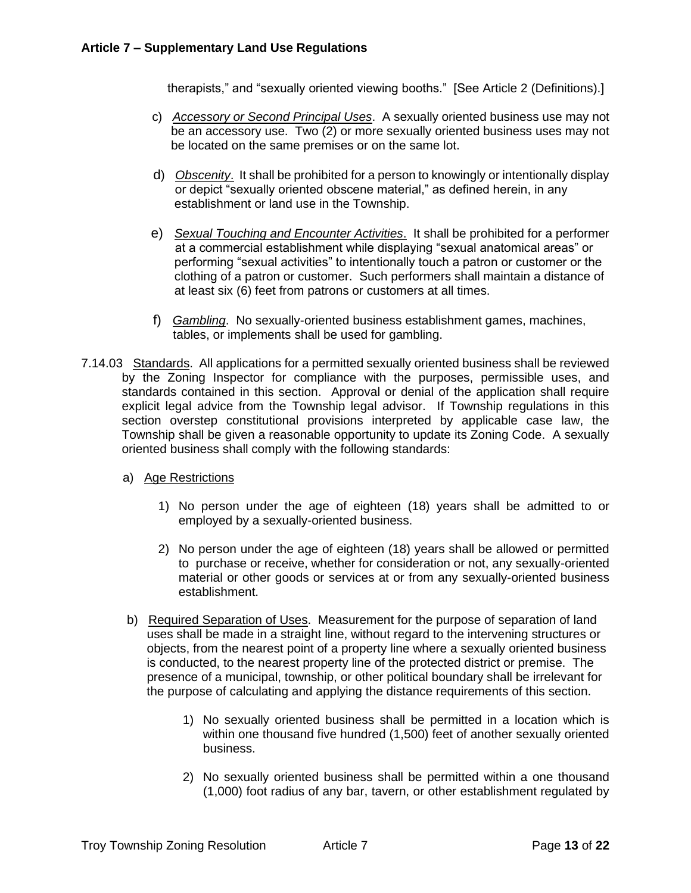therapists," and "sexually oriented viewing booths." [See Article 2 (Definitions).]

- c) *Accessory or Second Principal Uses*. A sexually oriented business use may not be an accessory use. Two (2) or more sexually oriented business uses may not be located on the same premises or on the same lot.
- d) *Obscenity*. It shall be prohibited for a person to knowingly or intentionally display or depict "sexually oriented obscene material," as defined herein, in any establishment or land use in the Township.
- e) *Sexual Touching and Encounter Activities*. It shall be prohibited for a performer at a commercial establishment while displaying "sexual anatomical areas" or performing "sexual activities" to intentionally touch a patron or customer or the clothing of a patron or customer. Such performers shall maintain a distance of at least six (6) feet from patrons or customers at all times.
- f) *Gambling*. No sexually-oriented business establishment games, machines, tables, or implements shall be used for gambling.
- 7.14.03 Standards. All applications for a permitted sexually oriented business shall be reviewed by the Zoning Inspector for compliance with the purposes, permissible uses, and standards contained in this section. Approval or denial of the application shall require explicit legal advice from the Township legal advisor. If Township regulations in this section overstep constitutional provisions interpreted by applicable case law, the Township shall be given a reasonable opportunity to update its Zoning Code. A sexually oriented business shall comply with the following standards:
	- a) Age Restrictions
		- 1) No person under the age of eighteen (18) years shall be admitted to or employed by a sexually-oriented business.
		- 2) No person under the age of eighteen (18) years shall be allowed or permitted to purchase or receive, whether for consideration or not, any sexually-oriented material or other goods or services at or from any sexually-oriented business establishment.
	- b) Required Separation of Uses. Measurement for the purpose of separation of land uses shall be made in a straight line, without regard to the intervening structures or objects, from the nearest point of a property line where a sexually oriented business is conducted, to the nearest property line of the protected district or premise. The presence of a municipal, township, or other political boundary shall be irrelevant for the purpose of calculating and applying the distance requirements of this section.
		- 1) No sexually oriented business shall be permitted in a location which is within one thousand five hundred (1,500) feet of another sexually oriented business.
		- 2) No sexually oriented business shall be permitted within a one thousand (1,000) foot radius of any bar, tavern, or other establishment regulated by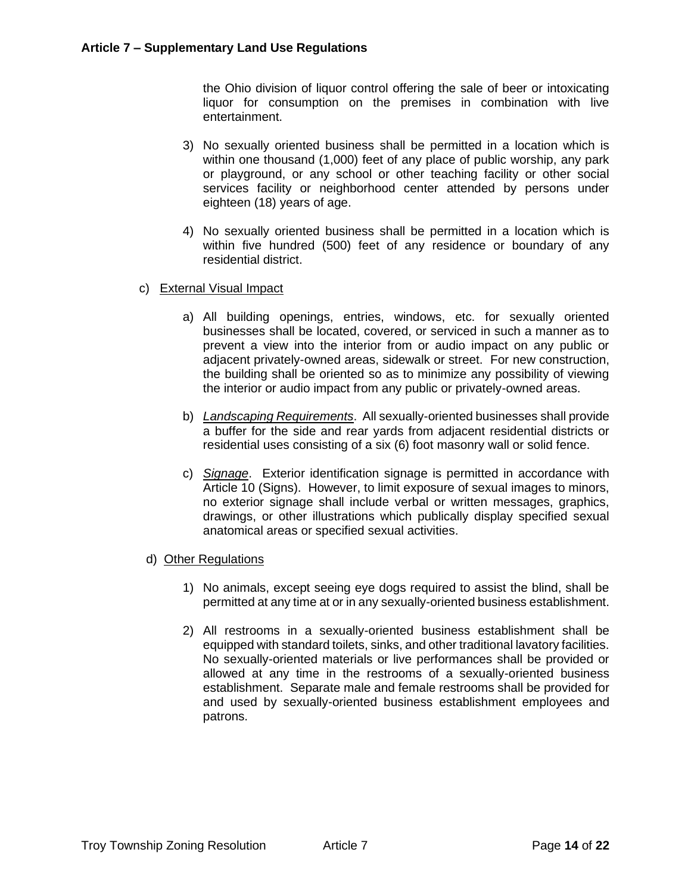the Ohio division of liquor control offering the sale of beer or intoxicating liquor for consumption on the premises in combination with live entertainment.

- 3) No sexually oriented business shall be permitted in a location which is within one thousand (1,000) feet of any place of public worship, any park or playground, or any school or other teaching facility or other social services facility or neighborhood center attended by persons under eighteen (18) years of age.
- 4) No sexually oriented business shall be permitted in a location which is within five hundred (500) feet of any residence or boundary of any residential district.
- c) External Visual Impact
	- a) All building openings, entries, windows, etc. for sexually oriented businesses shall be located, covered, or serviced in such a manner as to prevent a view into the interior from or audio impact on any public or adjacent privately-owned areas, sidewalk or street. For new construction, the building shall be oriented so as to minimize any possibility of viewing the interior or audio impact from any public or privately-owned areas.
	- b) *Landscaping Requirements*. All sexually-oriented businesses shall provide a buffer for the side and rear yards from adjacent residential districts or residential uses consisting of a six (6) foot masonry wall or solid fence.
	- c) *Signage*. Exterior identification signage is permitted in accordance with Article 10 (Signs). However, to limit exposure of sexual images to minors, no exterior signage shall include verbal or written messages, graphics, drawings, or other illustrations which publically display specified sexual anatomical areas or specified sexual activities.
- d) Other Regulations
	- 1) No animals, except seeing eye dogs required to assist the blind, shall be permitted at any time at or in any sexually-oriented business establishment.
	- 2) All restrooms in a sexually-oriented business establishment shall be equipped with standard toilets, sinks, and other traditional lavatory facilities. No sexually-oriented materials or live performances shall be provided or allowed at any time in the restrooms of a sexually-oriented business establishment. Separate male and female restrooms shall be provided for and used by sexually-oriented business establishment employees and patrons.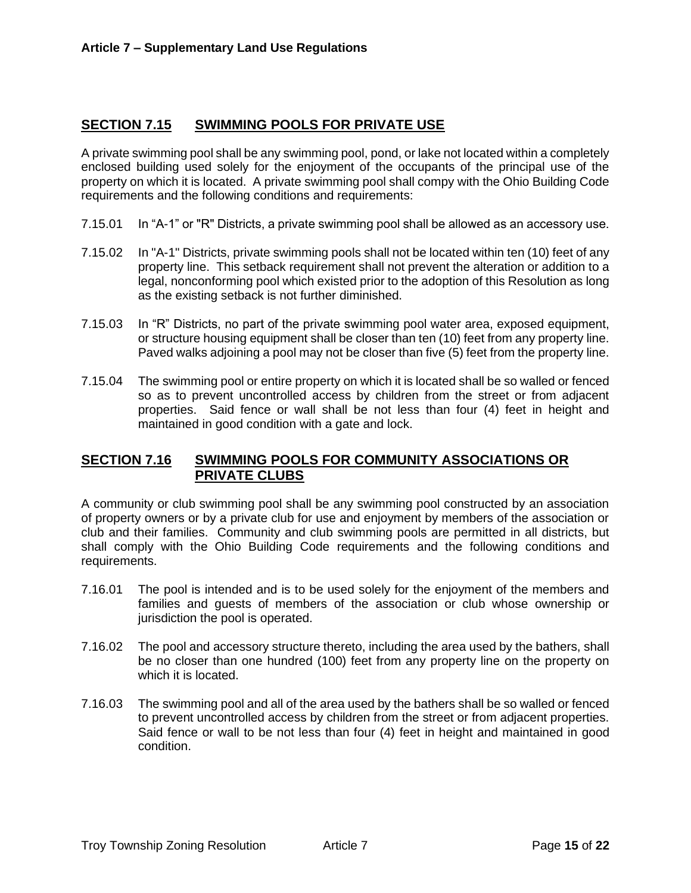## **SECTION 7.15 SWIMMING POOLS FOR PRIVATE USE**

A private swimming pool shall be any swimming pool, pond, or lake not located within a completely enclosed building used solely for the enjoyment of the occupants of the principal use of the property on which it is located. A private swimming pool shall compy with the Ohio Building Code requirements and the following conditions and requirements:

- 7.15.01 In "A-1" or "R" Districts, a private swimming pool shall be allowed as an accessory use.
- 7.15.02 In "A-1" Districts, private swimming pools shall not be located within ten (10) feet of any property line. This setback requirement shall not prevent the alteration or addition to a legal, nonconforming pool which existed prior to the adoption of this Resolution as long as the existing setback is not further diminished.
- 7.15.03 In "R" Districts, no part of the private swimming pool water area, exposed equipment, or structure housing equipment shall be closer than ten (10) feet from any property line. Paved walks adjoining a pool may not be closer than five (5) feet from the property line.
- 7.15.04 The swimming pool or entire property on which it is located shall be so walled or fenced so as to prevent uncontrolled access by children from the street or from adjacent properties. Said fence or wall shall be not less than four (4) feet in height and maintained in good condition with a gate and lock.

## **SECTION 7.16 SWIMMING POOLS FOR COMMUNITY ASSOCIATIONS OR PRIVATE CLUBS**

A community or club swimming pool shall be any swimming pool constructed by an association of property owners or by a private club for use and enjoyment by members of the association or club and their families. Community and club swimming pools are permitted in all districts, but shall comply with the Ohio Building Code requirements and the following conditions and requirements.

- 7.16.01 The pool is intended and is to be used solely for the enjoyment of the members and families and guests of members of the association or club whose ownership or jurisdiction the pool is operated.
- 7.16.02 The pool and accessory structure thereto, including the area used by the bathers, shall be no closer than one hundred (100) feet from any property line on the property on which it is located.
- 7.16.03 The swimming pool and all of the area used by the bathers shall be so walled or fenced to prevent uncontrolled access by children from the street or from adjacent properties. Said fence or wall to be not less than four (4) feet in height and maintained in good condition.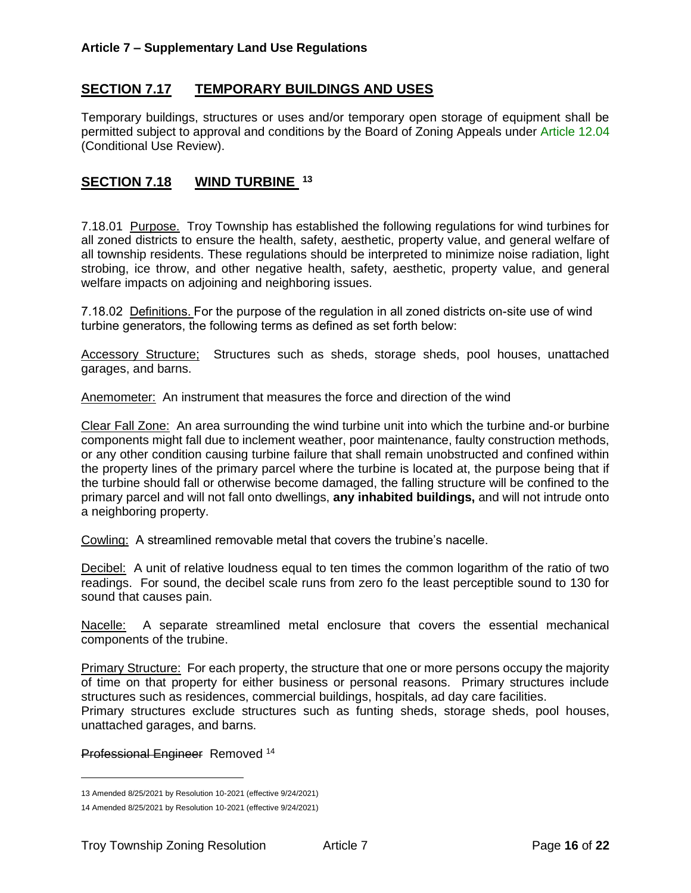## **SECTION 7.17 TEMPORARY BUILDINGS AND USES**

Temporary buildings, structures or uses and/or temporary open storage of equipment shall be permitted subject to approval and conditions by the Board of Zoning Appeals under Article 12.04 (Conditional Use Review).

## **SECTION 7.18 WIND TURBINE <sup>13</sup>**

7.18.01 Purpose. Troy Township has established the following regulations for wind turbines for all zoned districts to ensure the health, safety, aesthetic, property value, and general welfare of all township residents. These regulations should be interpreted to minimize noise radiation, light strobing, ice throw, and other negative health, safety, aesthetic, property value, and general welfare impacts on adjoining and neighboring issues.

7.18.02 Definitions. For the purpose of the regulation in all zoned districts on-site use of wind turbine generators, the following terms as defined as set forth below:

Accessory Structure; Structures such as sheds, storage sheds, pool houses, unattached garages, and barns.

Anemometer: An instrument that measures the force and direction of the wind

Clear Fall Zone: An area surrounding the wind turbine unit into which the turbine and-or burbine components might fall due to inclement weather, poor maintenance, faulty construction methods, or any other condition causing turbine failure that shall remain unobstructed and confined within the property lines of the primary parcel where the turbine is located at, the purpose being that if the turbine should fall or otherwise become damaged, the falling structure will be confined to the primary parcel and will not fall onto dwellings, **any inhabited buildings,** and will not intrude onto a neighboring property.

Cowling: A streamlined removable metal that covers the trubine's nacelle.

Decibel: A unit of relative loudness equal to ten times the common logarithm of the ratio of two readings. For sound, the decibel scale runs from zero fo the least perceptible sound to 130 for sound that causes pain.

Nacelle: A separate streamlined metal enclosure that covers the essential mechanical components of the trubine.

Primary Structure: For each property, the structure that one or more persons occupy the majority of time on that property for either business or personal reasons. Primary structures include structures such as residences, commercial buildings, hospitals, ad day care facilities.

Primary structures exclude structures such as funting sheds, storage sheds, pool houses, unattached garages, and barns.

Professional Engineer Removed <sup>14</sup>

<sup>13</sup> Amended 8/25/2021 by Resolution 10-2021 (effective 9/24/2021)

<sup>14</sup> Amended 8/25/2021 by Resolution 10-2021 (effective 9/24/2021)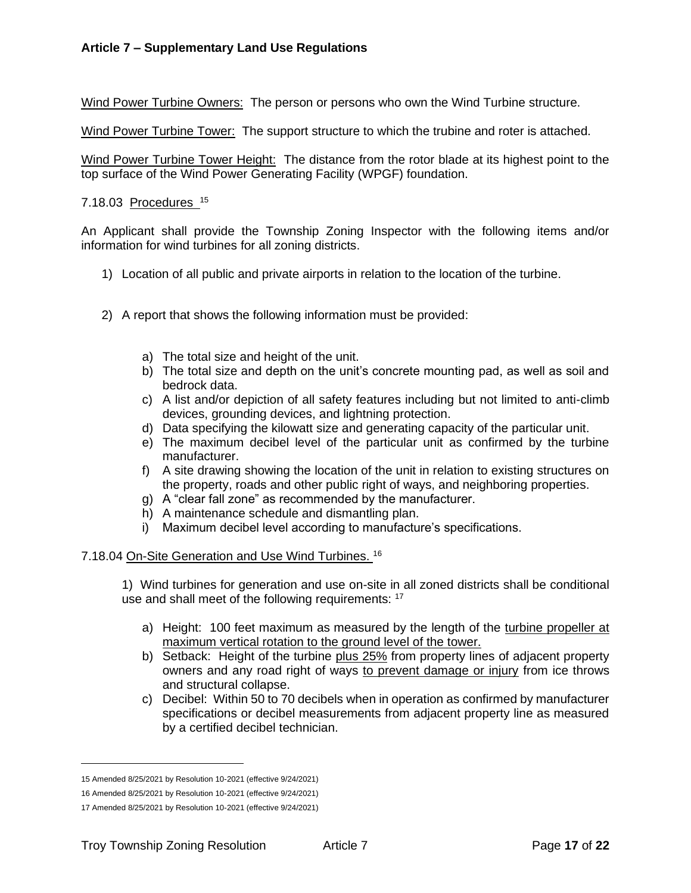Wind Power Turbine Owners: The person or persons who own the Wind Turbine structure.

Wind Power Turbine Tower: The support structure to which the trubine and roter is attached.

Wind Power Turbine Tower Height: The distance from the rotor blade at its highest point to the top surface of the Wind Power Generating Facility (WPGF) foundation.

#### 7.18.03 Procedures 15

An Applicant shall provide the Township Zoning Inspector with the following items and/or information for wind turbines for all zoning districts.

- 1) Location of all public and private airports in relation to the location of the turbine.
- 2) A report that shows the following information must be provided:
	- a) The total size and height of the unit.
	- b) The total size and depth on the unit's concrete mounting pad, as well as soil and bedrock data.
	- c) A list and/or depiction of all safety features including but not limited to anti-climb devices, grounding devices, and lightning protection.
	- d) Data specifying the kilowatt size and generating capacity of the particular unit.
	- e) The maximum decibel level of the particular unit as confirmed by the turbine manufacturer.
	- f) A site drawing showing the location of the unit in relation to existing structures on the property, roads and other public right of ways, and neighboring properties.
	- g) A "clear fall zone" as recommended by the manufacturer.
	- h) A maintenance schedule and dismantling plan.
	- i) Maximum decibel level according to manufacture's specifications.

#### 7.18.04 On-Site Generation and Use Wind Turbines. <sup>16</sup>

1) Wind turbines for generation and use on-site in all zoned districts shall be conditional use and shall meet of the following requirements: <sup>17</sup>

- a) Height: 100 feet maximum as measured by the length of the turbine propeller at maximum vertical rotation to the ground level of the tower.
- b) Setback: Height of the turbine plus 25% from property lines of adjacent property owners and any road right of ways to prevent damage or injury from ice throws and structural collapse.
- c) Decibel: Within 50 to 70 decibels when in operation as confirmed by manufacturer specifications or decibel measurements from adjacent property line as measured by a certified decibel technician.

<sup>15</sup> Amended 8/25/2021 by Resolution 10-2021 (effective 9/24/2021)

<sup>16</sup> Amended 8/25/2021 by Resolution 10-2021 (effective 9/24/2021)

<sup>17</sup> Amended 8/25/2021 by Resolution 10-2021 (effective 9/24/2021)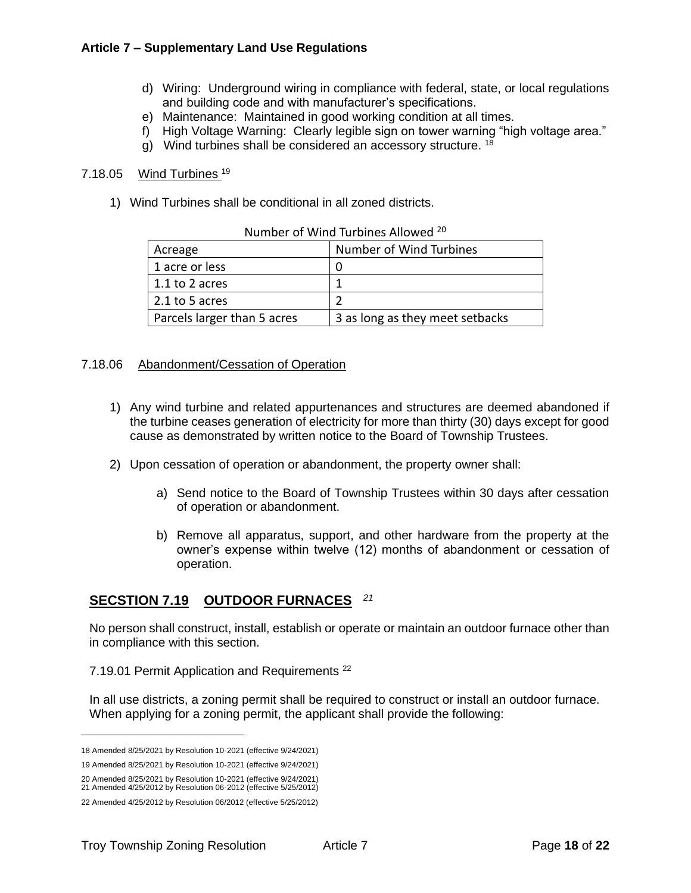- d) Wiring: Underground wiring in compliance with federal, state, or local regulations and building code and with manufacturer's specifications.
- e) Maintenance: Maintained in good working condition at all times.
- f) High Voltage Warning: Clearly legible sign on tower warning "high voltage area."
- g) Wind turbines shall be considered an accessory structure. <sup>18</sup>

#### 7.18.05 Wind Turbines <sup>19</sup>

1) Wind Turbines shall be conditional in all zoned districts.

| Acreage                     | Number of Wind Turbines         |
|-----------------------------|---------------------------------|
| 1 acre or less              |                                 |
| 1.1 to 2 acres              |                                 |
| 2.1 to 5 acres              |                                 |
| Parcels larger than 5 acres | 3 as long as they meet setbacks |

Number of Wind Turbines Allowed <sup>20</sup>

#### 7.18.06 Abandonment/Cessation of Operation

- 1) Any wind turbine and related appurtenances and structures are deemed abandoned if the turbine ceases generation of electricity for more than thirty (30) days except for good cause as demonstrated by written notice to the Board of Township Trustees.
- 2) Upon cessation of operation or abandonment, the property owner shall:
	- a) Send notice to the Board of Township Trustees within 30 days after cessation of operation or abandonment.
	- b) Remove all apparatus, support, and other hardware from the property at the owner's expense within twelve (12) months of abandonment or cessation of operation.

## **SECSTION 7.19 OUTDOOR FURNACES**  *21*

No person shall construct, install, establish or operate or maintain an outdoor furnace other than in compliance with this section.

7.19.01 Permit Application and Requirements<sup>22</sup>

In all use districts, a zoning permit shall be required to construct or install an outdoor furnace. When applying for a zoning permit, the applicant shall provide the following:

<sup>18</sup> Amended 8/25/2021 by Resolution 10-2021 (effective 9/24/2021)

<sup>19</sup> Amended 8/25/2021 by Resolution 10-2021 (effective 9/24/2021)

<sup>20</sup> Amended 8/25/2021 by Resolution 10-2021 (effective 9/24/2021) 21 Amended 4/25/2012 by Resolution 06-2012 (effective 5/25/2012)

<sup>22</sup> Amended 4/25/2012 by Resolution 06/2012 (effective 5/25/2012)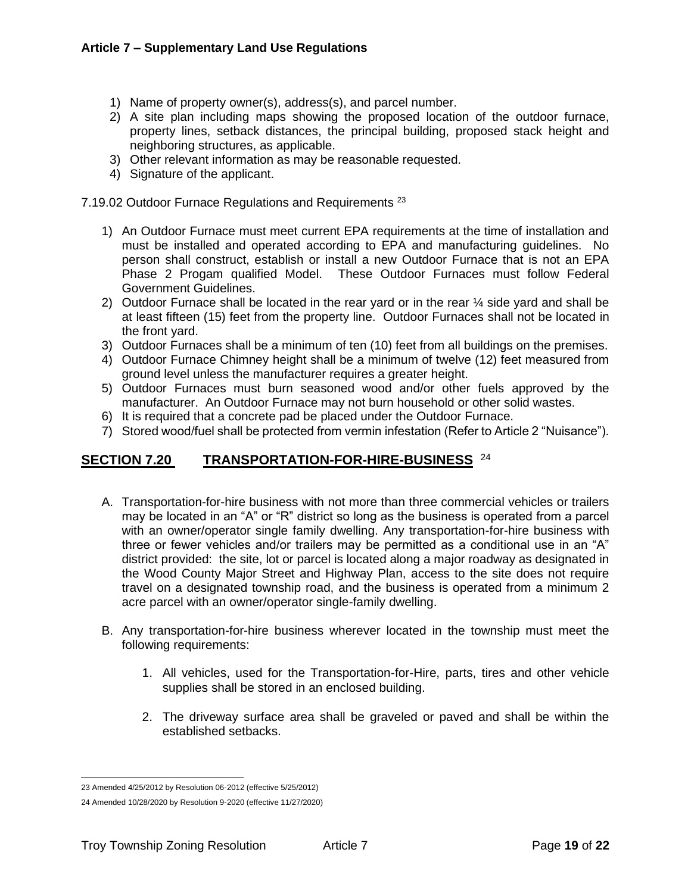- 1) Name of property owner(s), address(s), and parcel number.
- 2) A site plan including maps showing the proposed location of the outdoor furnace, property lines, setback distances, the principal building, proposed stack height and neighboring structures, as applicable.
- 3) Other relevant information as may be reasonable requested.
- 4) Signature of the applicant.

7.19.02 Outdoor Furnace Regulations and Requirements<sup>23</sup>

- 1) An Outdoor Furnace must meet current EPA requirements at the time of installation and must be installed and operated according to EPA and manufacturing guidelines. No person shall construct, establish or install a new Outdoor Furnace that is not an EPA Phase 2 Progam qualified Model. These Outdoor Furnaces must follow Federal Government Guidelines.
- 2) Outdoor Furnace shall be located in the rear yard or in the rear ¼ side yard and shall be at least fifteen (15) feet from the property line. Outdoor Furnaces shall not be located in the front yard.
- 3) Outdoor Furnaces shall be a minimum of ten (10) feet from all buildings on the premises.
- 4) Outdoor Furnace Chimney height shall be a minimum of twelve (12) feet measured from ground level unless the manufacturer requires a greater height.
- 5) Outdoor Furnaces must burn seasoned wood and/or other fuels approved by the manufacturer. An Outdoor Furnace may not burn household or other solid wastes.
- 6) It is required that a concrete pad be placed under the Outdoor Furnace.
- 7) Stored wood/fuel shall be protected from vermin infestation (Refer to Article 2 "Nuisance").

# **SECTION 7.20 TRANSPORTATION-FOR-HIRE-BUSINESS**  24

- A. Transportation-for-hire business with not more than three commercial vehicles or trailers may be located in an "A" or "R" district so long as the business is operated from a parcel with an owner/operator single family dwelling. Any transportation-for-hire business with three or fewer vehicles and/or trailers may be permitted as a conditional use in an "A" district provided: the site, lot or parcel is located along a major roadway as designated in the Wood County Major Street and Highway Plan, access to the site does not require travel on a designated township road, and the business is operated from a minimum 2 acre parcel with an owner/operator single-family dwelling.
- B. Any transportation-for-hire business wherever located in the township must meet the following requirements:
	- 1. All vehicles, used for the Transportation-for-Hire, parts, tires and other vehicle supplies shall be stored in an enclosed building.
	- 2. The driveway surface area shall be graveled or paved and shall be within the established setbacks.

<sup>23</sup> Amended 4/25/2012 by Resolution 06-2012 (effective 5/25/2012)

<sup>24</sup> Amended 10/28/2020 by Resolution 9-2020 (effective 11/27/2020)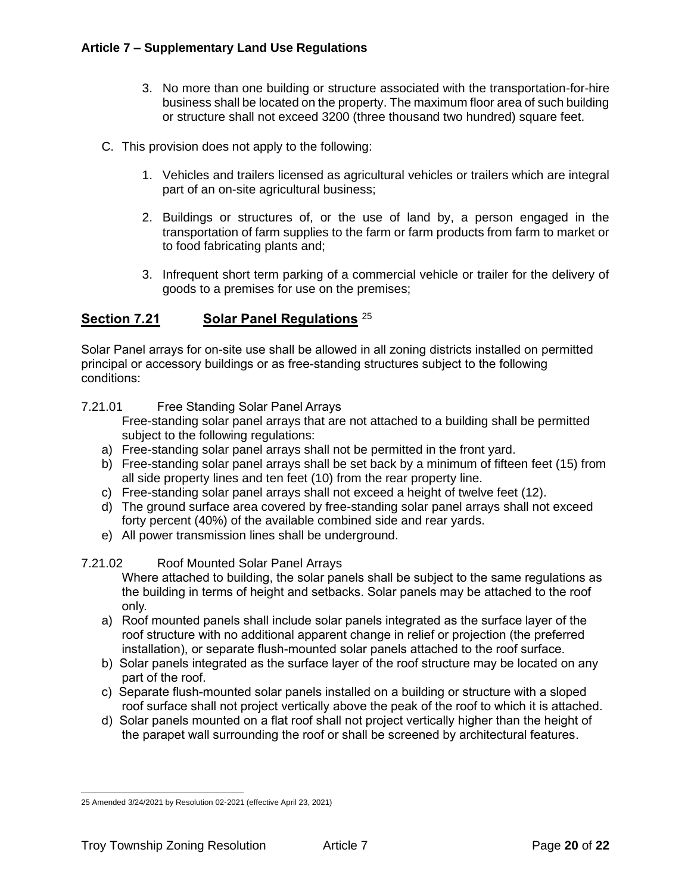- 3. No more than one building or structure associated with the transportation-for-hire business shall be located on the property. The maximum floor area of such building or structure shall not exceed 3200 (three thousand two hundred) square feet.
- C. This provision does not apply to the following:
	- 1. Vehicles and trailers licensed as agricultural vehicles or trailers which are integral part of an on-site agricultural business;
	- 2. Buildings or structures of, or the use of land by, a person engaged in the transportation of farm supplies to the farm or farm products from farm to market or to food fabricating plants and;
	- 3. Infrequent short term parking of a commercial vehicle or trailer for the delivery of goods to a premises for use on the premises;

# **Section 7.21 Solar Panel Regulations** <sup>25</sup>

Solar Panel arrays for on-site use shall be allowed in all zoning districts installed on permitted principal or accessory buildings or as free-standing structures subject to the following conditions:

7.21.01 Free Standing Solar Panel Arrays

Free-standing solar panel arrays that are not attached to a building shall be permitted subject to the following regulations:

- a) Free-standing solar panel arrays shall not be permitted in the front yard.
- b) Free-standing solar panel arrays shall be set back by a minimum of fifteen feet (15) from all side property lines and ten feet (10) from the rear property line.
- c) Free-standing solar panel arrays shall not exceed a height of twelve feet (12).
- d) The ground surface area covered by free-standing solar panel arrays shall not exceed forty percent (40%) of the available combined side and rear yards.
- e) All power transmission lines shall be underground.

#### 7.21.02 Roof Mounted Solar Panel Arrays

Where attached to building, the solar panels shall be subject to the same regulations as the building in terms of height and setbacks. Solar panels may be attached to the roof only.

- a) Roof mounted panels shall include solar panels integrated as the surface layer of the roof structure with no additional apparent change in relief or projection (the preferred installation), or separate flush-mounted solar panels attached to the roof surface.
- b) Solar panels integrated as the surface layer of the roof structure may be located on any part of the roof.
- c) Separate flush-mounted solar panels installed on a building or structure with a sloped roof surface shall not project vertically above the peak of the roof to which it is attached.
- d) Solar panels mounted on a flat roof shall not project vertically higher than the height of the parapet wall surrounding the roof or shall be screened by architectural features.

<sup>25</sup> Amended 3/24/2021 by Resolution 02-2021 (effective April 23, 2021)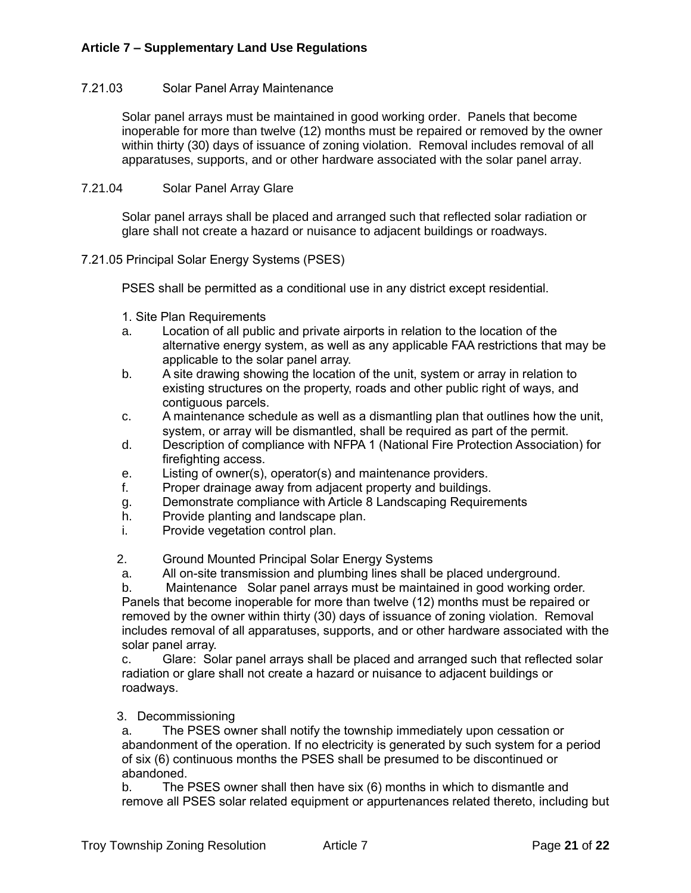#### 7.21.03 Solar Panel Array Maintenance

Solar panel arrays must be maintained in good working order. Panels that become inoperable for more than twelve (12) months must be repaired or removed by the owner within thirty (30) days of issuance of zoning violation. Removal includes removal of all apparatuses, supports, and or other hardware associated with the solar panel array.

#### 7.21.04 Solar Panel Array Glare

Solar panel arrays shall be placed and arranged such that reflected solar radiation or glare shall not create a hazard or nuisance to adjacent buildings or roadways.

#### 7.21.05 Principal Solar Energy Systems (PSES)

PSES shall be permitted as a conditional use in any district except residential.

- 1. Site Plan Requirements
- a. Location of all public and private airports in relation to the location of the alternative energy system, as well as any applicable FAA restrictions that may be applicable to the solar panel array.
- b. A site drawing showing the location of the unit, system or array in relation to existing structures on the property, roads and other public right of ways, and contiguous parcels.
- c. A maintenance schedule as well as a dismantling plan that outlines how the unit, system, or array will be dismantled, shall be required as part of the permit.
- d. Description of compliance with NFPA 1 (National Fire Protection Association) for firefighting access.
- e. Listing of owner(s), operator(s) and maintenance providers.
- f. Proper drainage away from adjacent property and buildings.
- g. Demonstrate compliance with Article 8 Landscaping Requirements
- h. Provide planting and landscape plan.
- i. Provide vegetation control plan.

2. Ground Mounted Principal Solar Energy Systems

a. All on-site transmission and plumbing lines shall be placed underground.

b. Maintenance Solar panel arrays must be maintained in good working order. Panels that become inoperable for more than twelve (12) months must be repaired or removed by the owner within thirty (30) days of issuance of zoning violation. Removal includes removal of all apparatuses, supports, and or other hardware associated with the solar panel array.

c. Glare: Solar panel arrays shall be placed and arranged such that reflected solar radiation or glare shall not create a hazard or nuisance to adjacent buildings or roadways.

#### 3. Decommissioning

a. The PSES owner shall notify the township immediately upon cessation or abandonment of the operation. If no electricity is generated by such system for a period of six (6) continuous months the PSES shall be presumed to be discontinued or abandoned.

b. The PSES owner shall then have six (6) months in which to dismantle and remove all PSES solar related equipment or appurtenances related thereto, including but